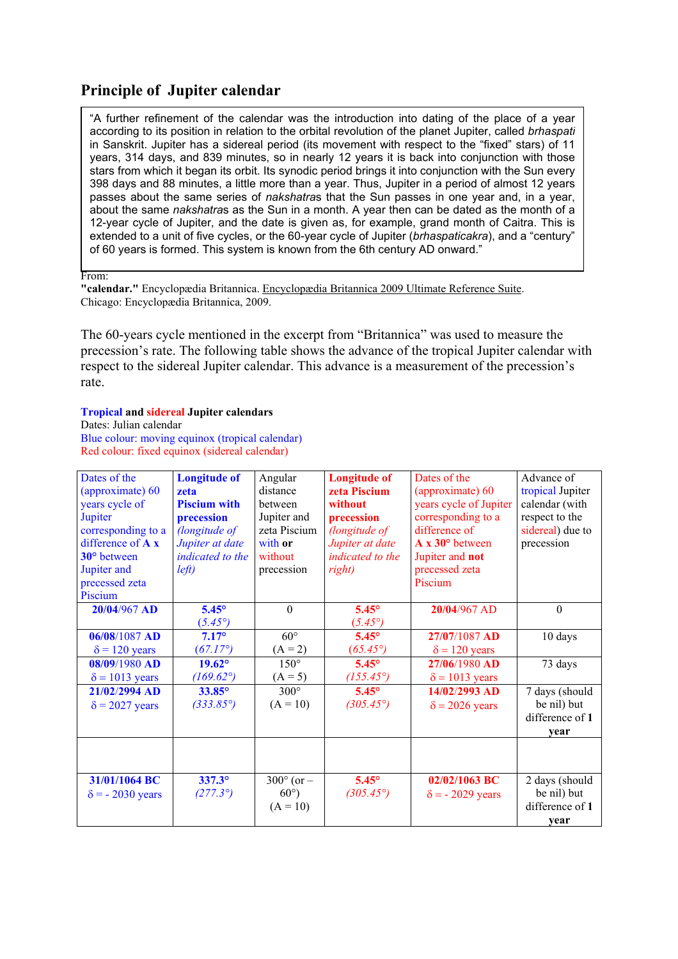# **Principle of Jupiter calendar**

"A further refinement of the calendar was the introduction into dating of the place of a year according to its position in relation to the orbital revolution of the planet Jupiter, called *brhaspati* in Sanskrit. Jupiter has a sidereal period (its movement with respect to the "fixed" stars) of 11 years, 314 days, and 839 minutes, so in nearly 12 years it is back into conjunction with those stars from which it began its orbit. Its synodic period brings it into conjunction with the Sun every 398 days and 88 minutes, a little more than a year. Thus, Jupiter in a period of almost 12 years passes about the same series of *nakshatra*s that the Sun passes in one year and, in a year, about the same *nakshatra*s as the Sun in a month. A year then can be dated as the month of a 12-year cycle of Jupiter, and the date is given as, for example, grand month of Caitra. This is extended to a unit of five cycles, or the 60-year cycle of Jupiter (*brhaspaticakra*), and a "century" of 60 years is formed. This system is known from the 6th century AD onward."

From:

**"calendar."** Encyclopædia Britannica. Encyclopædia Britannica 2009 Ultimate Reference Suite. Chicago: Encyclopædia Britannica, 2009.

The 60-years cycle mentioned in the excerpt from "Britannica" was used to measure the precession's rate. The following table shows the advance of the tropical Jupiter calendar with respect to the sidereal Jupiter calendar. This advance is a measurement of the precession's rate.

#### **Tropical and sidereal Jupiter calendars**

Dates: Julian calendar Blue colour: moving equinox (tropical calendar) Red colour: fixed equinox (sidereal calendar)

| Dates of the            | <b>Longitude of</b> | Angular               | <b>Longitude of</b> | Dates of the            | Advance of       |
|-------------------------|---------------------|-----------------------|---------------------|-------------------------|------------------|
| (approximate) 60        | zeta                | distance              | zeta Piscium        | (approximate) 60        | tropical Jupiter |
| years cycle of          | <b>Piscium with</b> | between               | without             | years cycle of Jupiter  | calendar (with   |
| Jupiter                 | precession          | Jupiter and           | precession          | corresponding to a      | respect to the   |
| corresponding to a      | (longitude of       | zeta Piscium          | (longitude of       | difference of           | sidereal) due to |
| difference of $A x$     | Jupiter at date     | with or               | Jupiter at date     | A x 30° between         | precession       |
| 30° between             | indicated to the    | without               | indicated to the    | Jupiter and not         |                  |
| Jupiter and             | left)               | precession            | right)              | precessed zeta          |                  |
| precessed zeta          |                     |                       |                     | Piscium                 |                  |
| Piscium                 |                     |                       |                     |                         |                  |
| 20/04/967 AD            | $5.45^\circ$        | $\mathbf{0}$          | $5.45^\circ$        | 20/04/967 AD            | $\mathbf{0}$     |
|                         | $(5.45^{\circ})$    |                       | $(5.45^{\circ})$    |                         |                  |
| 06/08/1087 AD           | $7.17^\circ$        | $60^\circ$            | $5.45^\circ$        | 27/07/1087 AD           | 10 days          |
| $\delta$ = 120 years    | $(67.17^{\circ})$   | $(A = 2)$             | $(65.45^{\circ})$   | $\delta$ = 120 years    |                  |
| $08/09/1980$ AD         | $19.62^{\circ}$     | $150^\circ$           | $5.45^{\circ}$      | 27/06/1980 AD           | 73 days          |
| $\delta$ = 1013 years   | $(169.62^{\circ})$  | $(A = 5)$             | $(155.45^{\circ})$  | $\delta$ = 1013 years   |                  |
| 21/02/2994 AD           | 33.85°              | $300^\circ$           | $5.45^{\circ}$      | 14/02/2993 AD           | 7 days (should   |
| $\delta$ = 2027 years   | $(333.85^{\circ})$  | $(A = 10)$            | $(305.45^{\circ})$  | $\delta$ = 2026 years   | be nil) but      |
|                         |                     |                       |                     |                         | difference of 1  |
|                         |                     |                       |                     |                         | year             |
|                         |                     |                       |                     |                         |                  |
|                         |                     |                       |                     |                         |                  |
| 31/01/1064 BC           | $337.3^{\circ}$     | $300^{\circ}$ (or $-$ | $5.45^\circ$        | 02/02/1063 BC           | 2 days (should   |
| $\delta$ = - 2030 years | $(277.3^{\circ})$   | $60^{\circ}$ )        | $(305.45^{\circ})$  | $\delta$ = - 2029 years | be nil) but      |
|                         |                     | $(A = 10)$            |                     |                         | difference of 1  |
|                         |                     |                       |                     |                         | year             |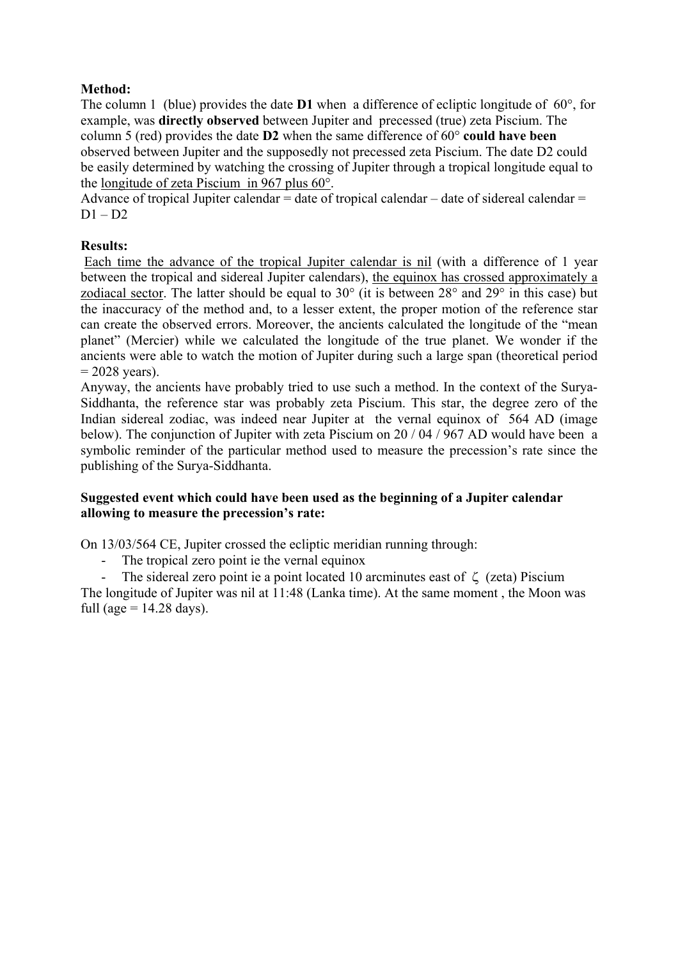## **Method:**

The column 1 (blue) provides the date **D1** when a difference of ecliptic longitude of 60°, for example, was **directly observed** between Jupiter and precessed (true) zeta Piscium. The column 5 (red) provides the date **D2** when the same difference of 60° **could have been** observed between Jupiter and the supposedly not precessed zeta Piscium. The date D2 could be easily determined by watching the crossing of Jupiter through a tropical longitude equal to the longitude of zeta Piscium in 967 plus 60°.

Advance of tropical Jupiter calendar  $=$  date of tropical calendar  $-$  date of sidereal calendar  $=$  $D1 - D2$ 

### **Results:**

Each time the advance of the tropical Jupiter calendar is nil (with a difference of 1 year between the tropical and sidereal Jupiter calendars), the equinox has crossed approximately a zodiacal sector. The latter should be equal to 30° (it is between 28° and 29° in this case) but the inaccuracy of the method and, to a lesser extent, the proper motion of the reference star can create the observed errors. Moreover, the ancients calculated the longitude of the "mean planet" (Mercier) while we calculated the longitude of the true planet. We wonder if the ancients were able to watch the motion of Jupiter during such a large span (theoretical period  $= 2028$  years).

Anyway, the ancients have probably tried to use such a method. In the context of the Surya-Siddhanta, the reference star was probably zeta Piscium. This star, the degree zero of the Indian sidereal zodiac, was indeed near Jupiter at the vernal equinox of 564 AD (image below). The conjunction of Jupiter with zeta Piscium on 20 / 04 / 967 AD would have been a symbolic reminder of the particular method used to measure the precession's rate since the publishing of the Surya-Siddhanta.

#### **Suggested event which could have been used as the beginning of a Jupiter calendar allowing to measure the precession's rate:**

On 13/03/564 CE, Jupiter crossed the ecliptic meridian running through:

- The tropical zero point ie the vernal equinox

- The sidereal zero point ie a point located 10 arcminutes east of  $\zeta$  (zeta) Piscium The longitude of Jupiter was nil at 11:48 (Lanka time). At the same moment , the Moon was

full (age  $= 14.28$  days).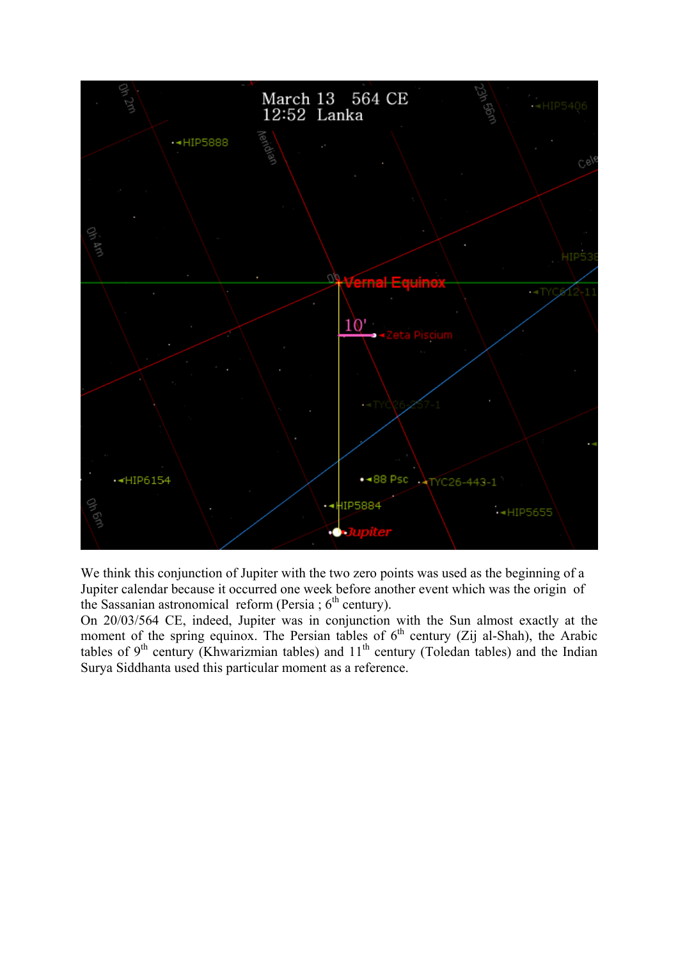

We think this conjunction of Jupiter with the two zero points was used as the beginning of a Jupiter calendar because it occurred one week before another event which was the origin of the Sassanian astronomical reform (Persia ;  $6<sup>th</sup>$  century).

On 20/03/564 CE, indeed, Jupiter was in conjunction with the Sun almost exactly at the moment of the spring equinox. The Persian tables of  $6<sup>th</sup>$  century (Zij al-Shah), the Arabic tables of  $9<sup>th</sup>$  century (Khwarizmian tables) and  $11<sup>th</sup>$  century (Toledan tables) and the Indian Surya Siddhanta used this particular moment as a reference.